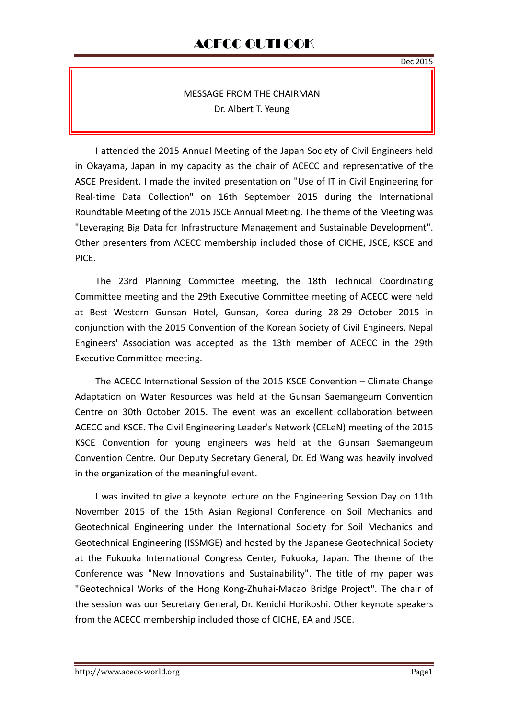## MESSAGE FROM THE CHAIRMAN Dr. Albert T. Yeung

I attended the 2015 Annual Meeting of the Japan Society of Civil Engineers held in Okayama, Japan in my capacity as the chair of ACECC and representative of the ASCE President. I made the invited presentation on "Use of IT in Civil Engineering for Real-time Data Collection" on 16th September 2015 during the International Roundtable Meeting of the 2015 JSCE Annual Meeting. The theme of the Meeting was "Leveraging Big Data for Infrastructure Management and Sustainable Development". Other presenters from ACECC membership included those of CICHE, JSCE, KSCE and PICE.

The 23rd Planning Committee meeting, the 18th Technical Coordinating Committee meeting and the 29th Executive Committee meeting of ACECC were held at Best Western Gunsan Hotel, Gunsan, Korea during 28-29 October 2015 in conjunction with the 2015 Convention of the Korean Society of Civil Engineers. Nepal Engineers' Association was accepted as the 13th member of ACECC in the 29th Executive Committee meeting.

The ACECC International Session of the 2015 KSCE Convention –Climate Change Adaptation on Water Resources was held at the Gunsan Saemangeum Convention Centre on 30th October 2015. The event was an excellent collaboration between ACECC and KSCE. The Civil Engineering Leader's Network (CELeN) meeting of the 2015 KSCE Convention for young engineers was held at the Gunsan Saemangeum Convention Centre. Our Deputy Secretary General, Dr. Ed Wang was heavily involved in the organization of the meaningful event.

I was invited to give a keynote lecture on the Engineering Session Day on 11th November 2015 of the 15th Asian Regional Conference on Soil Mechanics and Geotechnical Engineering under the International Society for Soil Mechanics and Geotechnical Engineering (ISSMGE) and hosted by the Japanese Geotechnical Society at the Fukuoka International Congress Center, Fukuoka, Japan. The theme of the Conference was "New Innovations and Sustainability". The title of my paper was "Geotechnical Works of the Hong Kong-Zhuhai-Macao Bridge Project". The chair of the session was our Secretary General, Dr. Kenichi Horikoshi. Other keynote speakers from the ACECC membership included those of CICHE, EA and JSCE.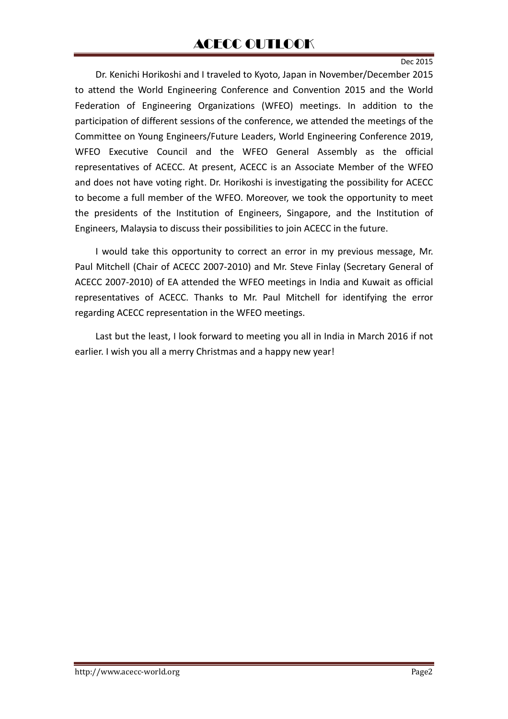Dr. Kenichi Horikoshi and I traveled to Kyoto, Japan in November/December 2015 to attend the World Engineering Conference and Convention 2015 and the World Federation of Engineering Organizations (WFEO) meetings. In addition to the participation of different sessions of the conference, we attended the meetings of the Committee on Young Engineers/Future Leaders, World Engineering Conference 2019, WFEO Executive Council and the WFEO General Assembly as the official representatives of ACECC. At present, ACECC is an Associate Member of the WFEO and does not have voting right. Dr. Horikoshi is investigating the possibility for ACECC to become a full member of the WFEO. Moreover, we took the opportunity to meet the presidents of the Institution of Engineers, Singapore, and the Institution of Engineers, Malaysia to discuss their possibilities to join ACECC in the future.

I would take this opportunity to correct an error in my previous message, Mr. Paul Mitchell (Chair of ACECC 2007-2010) and Mr. Steve Finlay (Secretary General of ACECC 2007-2010) of EA attended the WFEO meetings in India and Kuwait as official representatives of ACECC. Thanks to Mr. Paul Mitchell for identifying the error regarding ACECC representation in the WFEO meetings.

Last but the least, I look forward to meeting you all in India in March 2016 if not earlier. I wish you all a merry Christmas and a happy new year!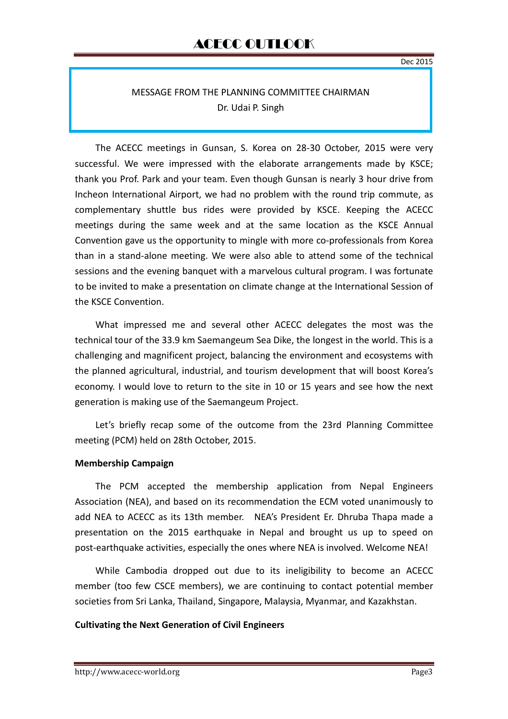## MESSAGE FROM THE PLANNING COMMITTEE CHAIRMAN Dr. Udai P. Singh

The ACECC meetings in Gunsan, S. Korea on 28-30 October, 2015 were very successful. We were impressed with the elaborate arrangements made by KSCE; thank you Prof. Park and your team. Even though Gunsan is nearly 3 hour drive from Incheon International Airport, we had no problem with the round trip commute, as complementary shuttle bus rides were provided by KSCE. Keeping the ACECC meetings during the same week and at the same location as the KSCE Annual Convention gave us the opportunity to mingle with more co-professionals from Korea than in a stand-alone meeting. We were also able to attend some of the technical sessions and the evening banquet with a marvelous cultural program. I was fortunate to be invited to make a presentation on climate change at the International Session of the KSCE Convention.

What impressed me and several other ACECC delegates the most was the technical tour of the 33.9 km Saemangeum Sea Dike, the longest in the world. This is a challenging and magnificent project, balancing the environment and ecosystems with the planned agricultural, industrial, and tourism development that will boost Korea's economy. I would love to return to the site in 10 or 15 years and see how the next generation is making use of the Saemangeum Project.

Let's briefly recap some of the outcome from the 23rd Planning Committee meeting (PCM) held on 28th October, 2015.

### **Membership Campaign**

The PCM accepted the membership application from Nepal Engineers Association (NEA), and based on its recommendation the ECM voted unanimously to add NEA to ACECC as its 13th member. NEA's President Er. Dhruba Thapa made a presentation on the 2015 earthquake in Nepal and brought us up to speed on post-earthquake activities, especially the ones where NEA is involved. Welcome NEA!

While Cambodia dropped out due to its ineligibility to become an ACECC member (too few CSCE members), we are continuing to contact potential member societies from Sri Lanka, Thailand, Singapore, Malaysia, Myanmar, and Kazakhstan.

### **Cultivating the Next Generation of Civil Engineers**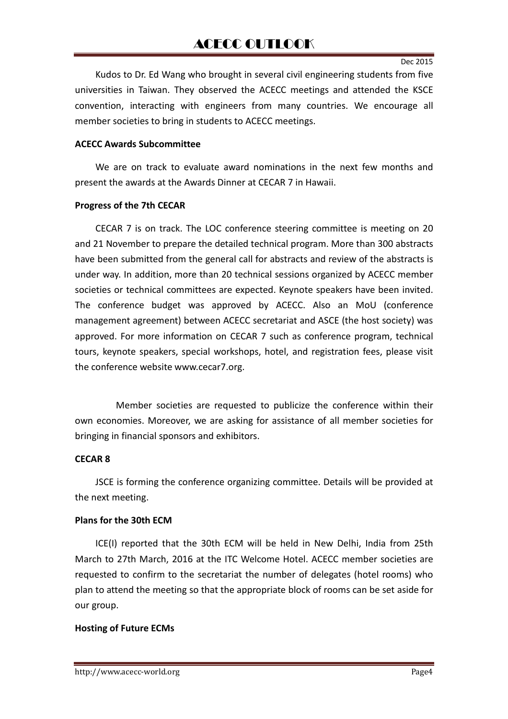Kudos to Dr. Ed Wang who brought in several civil engineering students from five universities in Taiwan. They observed the ACECC meetings and attended the KSCE convention, interacting with engineers from many countries. We encourage all member societies to bring in students to ACECC meetings.

#### **ACECC Awards Subcommittee**

We are on track to evaluate award nominations in the next few months and present the awards at the Awards Dinner at CECAR 7 in Hawaii.

#### **Progress of the 7th CECAR**

CECAR 7 is on track. The LOC conference steering committee is meeting on 20 and 21 November to prepare the detailed technical program. More than 300 abstracts have been submitted from the general call for abstracts and review of the abstracts is under way. In addition, more than 20 technical sessions organized by ACECC member societies or technical committees are expected. Keynote speakers have been invited. The conference budget was approved by ACECC. Also an MoU (conference management agreement) between ACECC secretariat and ASCE (the host society) was approved. For more information on CECAR 7 such as conference program, technical tours, keynote speakers, special workshops, hotel, and registration fees, please visit the conference website www.cecar7.org.

Member societies are requested to publicize the conference within their own economies. Moreover, we are asking for assistance of all member societies for bringing in financial sponsors and exhibitors.

#### **CECAR 8**

JSCE is forming the conference organizing committee. Details will be provided at the next meeting.

### **Plans for the 30th ECM**

ICE(I) reported that the 30th ECM will be held in New Delhi, India from 25th March to 27th March, 2016 at the ITC Welcome Hotel. ACECC member societies are requested to confirm to the secretariat the number of delegates (hotel rooms) who plan to attend the meeting so that the appropriate block of rooms can be set aside for our group.

### **Hosting of Future ECMs**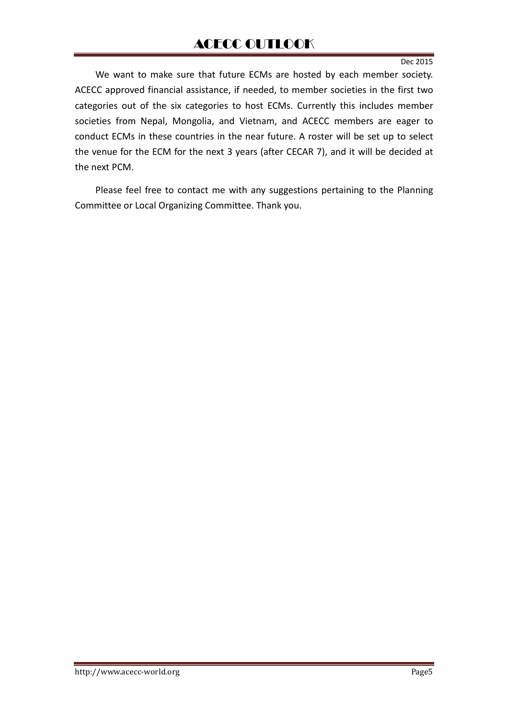## ACECC OUTLOOK

#### Dec 2015

We want to make sure that future ECMs are hosted by each member society. ACECC approved financial assistance, if needed, to member societies in the first two categories out of the six categories to host ECMs. Currently this includes member societies from Nepal, Mongolia, and Vietnam, and ACECC members are eager to conduct ECMs in these countries in the near future. A roster will be set up to select the venue for the ECM for the next 3 years (after CECAR 7), and it will be decided at the next PCM.

Please feel free to contact me with any suggestions pertaining to the Planning Committee or Local Organizing Committee. Thank you.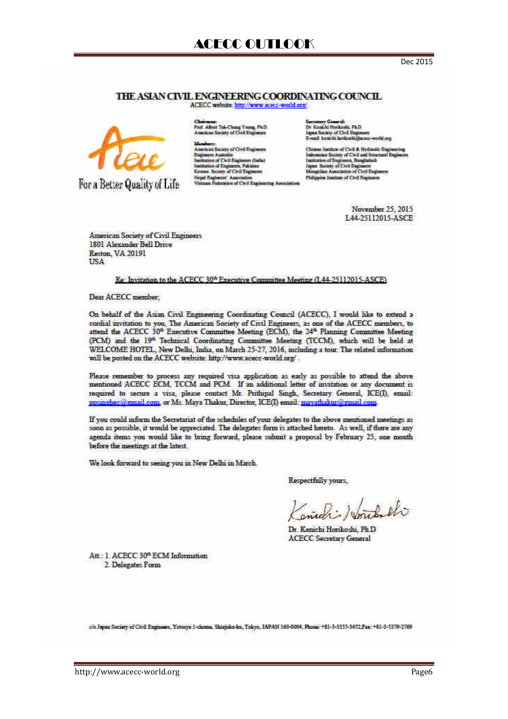#### THE ASIAN CIVIL ENGINEERING COORDINATING COUNCIL

ACECC website: http://www.acecc-world.org/



For a Better Quality of Life

Pust Allest Tak-Chung Young, PND<br>Ananicas Rociety of Civil Engineers

Monberg<br>Annicas faciny of Crol Engineer American Matrix<br>Taginers Autrixis<br>Taginers of Civit Engineers (India)<br>Taginers Society of Civit Engineers<br>Kamas Society of Civit Engineers Nepal Englands' Association<br>Vietnam Federation of Chill England Secretary Counsel:<br>Dr. Kenichi Harikodd, Ph.D<br>Japan Socioty of Civil Engineers<br>S-mail: Iemichi Ieminalii@ame: workl.org

Clonese Institute of Civil & Hydraulie Engineeris<br>Indonesian Society of Civil and Structural Engine<br>Institution of Engineers, Ranglachelt<br>Ingen: Society of Civil Engineeri Japan Josep at Civit Englands<br>Mangrika Americans of Civit Engle<br>Philippine Institute of Civit Engineers

> November 25, 2015 L44-25112015-ASCE

**American Society of Civil Engineers** 1801 Alexander Bell Drive **Reston, VA 20191** USA

#### Re: Invitation to the ACECC 30<sup>th</sup> Executive Committee Meeting (L44-25112015-ASCE)

Dear ACECC member.

On behalf of the Asian Civil Engineering Coordinating Council (ACECC), I would like to extend a cordial invitation to you. The American Society of Civil Engineers, as one of the ACECC members, to attend the ACECC 30<sup>th</sup> Executive Committee Meeting (ECM), the 24<sup>th</sup> Planning Committee Meeting (PCM) and the 19<sup>th</sup> Technical Coordinating Committee Meeting (TCCM), which will be held at WELCOME HOTEL, New Delhi, India, on March 25-27, 2016, including a tour. The related information will be posted on the ACECC website: http://www.acecc-world.org/...

Please remember to process any required visa application as early as possible to attend the above mentioned ACECC ECM, TCCM and PCM If an additional letter of invitation or any document is required to secure a visa, please contact Mr. Prithipal Singh, Secretary General, ICE(I), email: misingheoff gmail com, or Ms. Maya Thakur, Director, ICE(I) email: mayathakur@gmail.com.

If you could inform the Secretariat of the schedules of your delegates to the above mentioned meetings as soon as possible, it would be appreciated. The delegates form is attached hereto. As well, if there are any agenda items you would like to bring forward, please submit a proposal by February 25, one month before the meetings at the latest.

We look forward to seeing you in New Delhi in March.

Respectfully yours,

South el

Dr. Kenichi Horikoshi, Ph.D. **ACECC Secretary General** 

Att.: 1. ACECC 30<sup>th</sup> ECM Information 2. Delegates Form

c/e Japan Society of Civil Engineers, Yotsaya 1-chome, Shinjaku-ku, Tokyo, JAPAN 160-0004, Phone: +81-3-3333-3432 Fax: +81-3-3379-2769